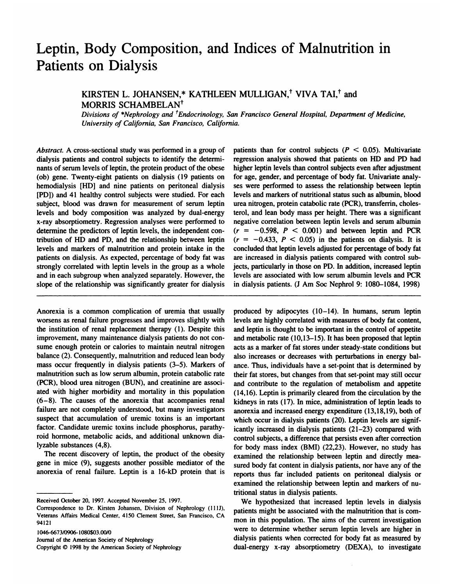## **Leptin, Body Composition, and Indices of Malnutrition in Patients on Dialysis**<br> **Patients on Dialysis** S on Dialysis<br>
KIRSTEN L. JOHANSEN,\* KATHLEEN MULLIGAN,<sup>†</sup> VIVA TAI,<sup>†</sup> and<br>
MORRIS SCHAMBELAN<sup>†</sup>

# **MORRIS CHAMBELA**<br>**MORRIS SCHAMBELA**<br>Divisions of \*Nephrology and

KIRSTEN L. JOHANSEN,\* KATHLEEN MULLIGAN,<sup>†</sup> VIVA TAI,<sup>†</sup> and<br>MORRIS SCHAMBELAN<sup>†</sup><br>Divisions of \*Nephrology and <sup>†</sup>Endocrinology, San Francisco General Hospital, Department of Medicine<br>University of California, San Francisc

*Divisions of "Nephrology and Endocrinology, Sand University of California, San Francisco, California*<br>*Abstract.* A cross-sectional study was performed in a group of p<br>dialysis patients and control subjects to identify th oniversity of Catifornia, san Francisco, Ca<br>Abstract. A cross-sectional study was performed in a group<br>dialysis patients and control subjects to identify the determnts of serum levels of leptin, the protein product of the Abstract. A cross-sectional study was performed in a group of politically positions and control subjects to identify the determinants of serum levels of leptin, the protein product of the obese his (ob) gene. Twenty-eight Abstract. A cross-sectional study was performed in a group of patidialysis patients and control subjects to identify the determineries nants of serum levels of leptin, the protein product of the obese high (ob) gene. Twent dialysis patients and control subjects to identify the determinants of serum levels of leptin, the protein product of the obese (ob) gene. Twenty-eight patients on dialysis (19 patients on hemodialysis [HD] and nine patien marysis pauerits and collubrisation dentity the determinants of serum levels of leptin, the protein product of the obese hig (ob) gene. Twenty-eight patients on dialysis (19 patients on for hemodialysis [HD] and nine patie subject, blood was drawn for measurement of serum levels in the modialysis (b) gene. Twenty-eight patients on dialysis (19 patients on for hemodialysis [HD] and nine patients on peritoneal dialysis ses (PDJ) and 41 healthy (bo) gene. Twenty-eight patients on diarysis (19 patients on<br>hemodialysis [HD] and nine patients on peritoneal dialysis<br>(PDJ) and 41 healthy control subjects were studied. For each<br>subject, blood was drawn for measurement The particle of performed unarysis sess.<br>
(PDJ) and 41 healthy control subjects were studied. For each leve<br>
subject, blood was drawn for measurement of serum leptin ures<br>
levels and body composition was analyzed by dual-e subject, blood was drawn for measurement of serum leptin<br>levels and body composition was analyzed by dual-energy<br>x-ray absorptiometry. Regression analyses were performed to<br>determine the predictors of leptin levels, the in Subject, blood was drawn for included to seture leptin diversis and body composition was analyzed by dual-energy ter<br>x-ray absorptiometry. Regression analyses were performed to need<br>determine the predictors of leptin level levels and body composition was analyzed by dual-chergy<br>x-ray absorptiometry. Regression analyses were performed to nee<br>determine the predictors of leptin levels, the independent con-<br>tribution of HD and PD, and the relati A-lay absorptionieny. Regression analyses were performed to<br>determine the predictors of leptin levels, the independent con-<br>tribution of HD and PD, and the relationship between leptin (<br>levels and markers of malnutrition a determine the predictors of leptin levels, the independent con-<br>tribution of HD and PD, and the relationship between leptin (*i*<br>levels and markers of malnutrition and protein intake in the<br>patients on dialysis. As expecte and in each subgroup when analyzed separately. However, the local particles and markers of malnutrition and protein intake in the conditions of patients on dialysis. As expected, percentage of body fat was are strongly cor slower and markers of mannumon and protein make in the patients on dialysis. As expected, percentage of body fat was strongly correlated with leptin levels in the group as a whole and in each subgroup when analyzed separat

Shope of the relationship was significantly greater for diarysis<br>
Anorexia is a common complication of uremia that usually<br>
worsens as renal failure progresses and improves slightly with lev<br>
the institution of renal repla Anorexia is a common complication of uremia that usually proversens as renal failure progresses and improves slightly with level institution of renal replacement therapy (1). Despite this and improvement, many maintenance Anorexia is a common complication of uremia that usually<br>worsens as renal failure progresses and improves slightly with<br>the institution of renal replacement therapy (1). Despite this<br>improvement, many maintenance dialysis Anorexia is a common compication of utemia that usually proves as renal failure progresses and improves slightly with level institution of renal replacement therapy (1). Despite this an improvement, many maintenance dialys worsens as renar ranure progresses and improves signity with<br>the institution of renal replacement therapy (1). Despite this<br>improvement, many maintenance dialysis patients do not con-<br>sume enough protein or calories to mai improvement, many maintenance dialysis patients do not consume enough protein or calories to maintain neutral nitrogen accuracion and reduced lean body alses of malnutrition such as low serum albumin, protein catabolic rat balance (2). Consequently, manuful and reduced lean body<br>mass occur frequently in dialysis patients (3–5). Markers of<br>malnutrition such as low serum albumin, protein catabolic rate<br>(PCR), blood urea nitrogen (BUN), and cr mass occur requently in diarysis patients (3–5). Markets of<br>malnutrition such as low serum albumin, protein catabolic rate<br>(PCR), blood urea nitrogen (BUN), and creatinine are associ-<br>ated with higher morbidity and mortali (PCR), blood urea nitrogen (BUN), and creatinine are associated with higher morbidity and mortality in this population  $(6-8)$ . The causes of the anorexia that accompanies renal failure are not completely understood, but (FCR), blood urea nifogen (BOIN), and creatified are associated with higher morbidity and mortality in this population (6–8). The causes of the anorexia that accompanies renal failure are not completely understood, but man factor. The causes of the anorexia that accompanies refailure are not completely understood, but many investigate suspect that accumulation of uremic toxins is an import factor. Candidate uremic toxins include phosphorus,  $(0-6)$ . The causes of the anorexia that accompanies renar<br>failure are not completely understood, but many investigators<br>suspect that accumulation of tremic toxins is an important<br>factor. Candidate uremic toxins include p ranure are not completely<br>suspect that accumulation<br>factor. Candidate uremic t<br>roid hormone, metabolic a<br>lyzable substances (4,8).<br>The recent discovery of

ractor. Candidate themic toxins include phosphorus, paramy-<br>roid hormone, metabolic acids, and additional unknown dia-<br>lyzable substances  $(4,8)$ . for<br>form the recent discovery of leptin, the product of the obesity<br>gene i Fold normone, metabolic acids, and additional unknown dia-<br>lyzable substances  $(4,8)$ .<br>fold the recent discovery of leptin, the product of the obesity<br>gene in mice  $(9)$ , suggests another possible mediator of the surface<br> anorexia of renal failure. Leptin is a 16-kD pro<br>
Received October 20, 1997. Accepted November 25, 1997.<br>
Correspondence to Dr. Kirsten Johansen, Division of Neph

Journal of the American Society of Nephrology<br>Copyright © 1998 by the American Society of Nephrology

patients than for control subjects *(P* **<sup>&</sup>lt;** 0.05). Multivariate *a.*<br>patients than for control subjects  $(P \le 0.05)$ . Multivariate<br>regression analysis showed that patients on HD and PD had<br>higher leptin levels than control subjects even after adjustment patients than for control subjects  $(P < 0.05)$ . Multivariate regression analysis showed that patients on HD and PD had higher leptin levels than control subjects even after adjustment for age, gender, and percentage of b patients than for control subjects  $(P < 0.05)$ . Multivariategression analysis showed that patients on HD and PD h, higher leptin levels than control subjects even after adjustme for age, gender, and percentage of body fat. regression analysis showed that patients on HD and PD had higher leptin levels than control subjects even after adjustment for age, gender, and percentage of body fat. Univariate analyses were performed to assess the relat legression analysis showed that patients on HD and HD had<br>higher leptin levels than control subjects even after adjustment<br>for age, gender, and percentage of body fat. Univariate analy-<br>ses were performed to assess the rel inglier leptifievers than collubrisationship control and for age, gender, and percentage of body fat. Univariate ana<br>ses were performed to assess the relationship between lep<br>levels and markers of nutritional status such a for age, gender, and percentage of body rat. Onivariate analy-<br>ses were performed to assess the relationship between leptin<br>levels and markers of nutritional status such as albumin, blood<br>urea nitrogen, protein catabolic r ses were performed to assess the relationship between leptin<br>levels and markers of nutritional status such as albumin, blood<br>urea nitrogen, protein catabolic rate (PCR), transferrin, choles-<br>terol, and lean body mass per revers and markets of nutritional status such as about<br>time introgen, protein catabolic rate (PCR), transferrin, choles-<br>terol, and lean body mass per height. There was a significant<br>negative correlation between leptin le *diea* intogen, protein catabolic rate  $(rCR)$ , transferring chosisterol, and lean body mass per height. There was a significant negative correlation between leptin levels and serum albumin  $(r = -0.598, P < 0.001)$  and between erior, and lean body mass per neight. There was a significant<br>negative correlation between leptin levels and serum albumin<br> $(r = -0.433, P < 0.05)$  in the patients on dialysis. It is<br>concluded that leptin levels adjusted for p  $(r = -0.598, P < 0.001)$  and between leptin and PCR  $(r = -0.433, P < 0.05)$  in the patients on dialysis. It is concluded that leptin levels adjusted for percentage of body fat are increased in dialysis patients compared with cont  $(r = -0.396, P \le 0.061)$  and between leptin and PCK<br>  $(r = -0.433, P \le 0.05)$  in the patients on dialysis. It is<br>
concluded that leptin levels adjusted for percentage of body fat<br>
are increased in dialysis patients compared with ( $V = -0.433$ ,  $V \le 0.03$ ) in the patients of dialysis. It is<br>concluded that leptin levels adjusted for percentage of body fat<br>are increased in dialysis patients compared with control sub-<br>jects, particularly in those on PD are increased in dialysis patients compared with control sub-<br>jects, particularly in those on PD. In addition, increased leptin<br>levels are associated with low serum albumin levels and PCR<br>in dialysis patients. (J Am Soc Ne and in each subgroup when analyzed separately. However, the levels are associated with low serum albumin levels and PCR<br>slope of the relationship was significantly greater for dialysis in dialysis patients. (J Am Soc Nephr

suspect that accumulation of uremic toxins is an important<br>factor. Candidate uremic toxins include phosphorus, parathy-<br>roid hormone, metabolic acids, and additional unknown dia-<br>lyzable substances (4,8).<br>for body mass ind produced by adipocytes (10-14). In humans, serum leptin<br>levels are highly correlated with measures of body fat content, and leptin is thought to be important in the control of appetite produced by adipocytes (10–14). In humans, serum leptin<br>levels are highly correlated with measures of body fat content,<br>and leptin is thought to be important in the control of appetite<br>and metabolic rate (10,13–15). It has produced by adipocytes  $(10-14)$ . In humans, serum leptin<br>levels are highly correlated with measures of body fat content,<br>and leptin is thought to be important in the control of appetite<br>and metabolic rate  $(10,13-15)$ . I produced by aupocytes  $(10-14)$ . In humans, setun lepton<br>levels are highly correlated with measures of body fat content,<br>and leptin is thought to be important in the control of appetite<br>and metabolic rate  $(10,13-15)$ . It also increases or decreases or dody fat content,<br>and leptin is thought to be important in the control of appetite<br>and metabolic rate (10,13–15). It has been proposed that leptin<br>acts as a marker of fat stores under steadyand netabolic rate  $(10,13-15)$ . It has been proposed that leptin acts as a marker of fat stores under steady-state conditions but also increases or decreases with perturbations in energy balance. Thus, individuals have a and include that  $(10,15-15)$ . It has occur proposed that tepther<br>acts as a marker of fat stores under steady-state conditions but<br>also increases or decreases with perturbations in energy bal-<br>ance. Thus, individuals have acts as a market of rat stores under steady-state conditions out<br>also increases or decreases with perturbations in energy bal-<br>ance. Thus, individuals have a set-point that is determined by<br>their fat stores, but changes fr ance. Thus, individuals have a set-point that is determined by<br>their fat stores, but changes from that set-point may still occur<br>and contribute to the regulation of metabolism and appetite<br>(14,16). Leptin is primarily clea and contribute to the regulation of metabolism and appetite (14,16). Leptin is primarily cleared from the circulation by the kidneys in rats (17). In mice, administration of leptin leads to anorexia and increased energy ex (14,16). Leptin is primarily cleared from the circulation by t<br>(14,16). Leptin is primarily cleared from the circulation by t<br>kidneys in rats (17). In mice, administration of leptin leads<br>anorexia and increased energy exp (14,10). Equil is primally cleared from the cheduation by the kidneys in rats (17). In mice, administration of leptin leads to anorexia and increased energy expenditure (13,18,19), both of which occur in dialysis patients Examples in Tats (17). In lince, a<br>diministration of lepth leads to<br>anorexia and increased energy expenditure (13,18,19), both of<br>which occur in dialysis patients (21–23) compared with<br>control subjects, a difference that anotexia and increased energy expenditive (15,16,19), bodi of<br>which occur in dialysis patients (20). Leptin levels are signif-<br>icantly increased in dialysis patients (21–23) compared with<br>control subjects, a difference th icantly increased in dialysis patients  $(21-23)$  compared with sured body mass in dialysis patients  $(21-23)$  compared with<br>control subjects, a difference that persists even after correction<br>for body mass index (BMI) (22,23). However, no study has<br>examined the relationship between le control subjects, a unterence that persists even arter correction<br>for body mass index (BMI) (22,23). However, no study has<br>examined the relationship between leptin and directly mea-<br>sured body fat content in dialysis patie For body mass muck (BMI)  $(22,25)$ . However, no study has examined the relationship between leptin and directly measured body fat content in dialysis patients, nor have any of the reports thus far included patients on per reports thus far included patients on peritoneal dialysis or<br>examined the relationship between leptin and markers of nu-<br>tritional status in dialysis patients.<br>We hypothesized that increased leptin levels in dialysis Exercised body fat collected in diarysis patients, not have any of the poorts thus far included patients on peritoneal dialysis or amined the relationship between leptin and markers of nutional status in dialysis patients.

patients might be associated with the malnutritional status in dialysis patients.<br>We hypothesized that increased leptin levels in dialysis<br>patients might be associated with the malnutrition that is com-<br>mon in this populat examined the relationship between reptin and markers of fur-<br>tritional status in dialysis patients.<br>We hypothesized that increased leptin levels in dialysis<br>patients might be associated with the malnutrition that is com-<br>m We hypothesized that increased leptin levels in dialysis<br>patients might be associated with the malnutrition that is com-<br>mon in this population. The aims of the current investigation<br>were to determine whether serum leptin We hyponesized that increased lepth levels in dialysis<br>patients might be associated with the malnutrition that is com-<br>mon in this population. The aims of the current investigation<br>were to determine whether serum leptin le patients inight be associated whil the manufacturition that is comon in this population. The aims of the current investigative were to determine whether serum leptin levels are higher dialysis patients when corrected for b

Correspondence to Dr. Kirsten Johansen, Division of Nephrology (111J),<br>Correspondence to Dr. Kirsten Johansen, Division of Nephrology (111J),<br>Veterans Affairs Medical Center, 4150 Clement Street, San Francisco, CA examin<br>
Theoretived October 20, 1997. Accepted November 25, 1997.<br>
Veterans Affairs Medical Center, 4150 Clement Street, San Francisco, CA mon i<br>
194121 Received October 20, 1997. Accepted November 25, 1997.<br>Correspondence to Dr. Kirsten Johansen, Division of Nephrology (111J),<br>Veterans Affairs Medical Center, 4150 Clement Street, San Francisco, CA<br>94121<br>1046-6673/0906-108 Correspondence to Dr. Kirsten Johansen, Division<br>Veterans Affairs Medical Center, 4150 Clement St<br>94121<br>1046-6673/0906-1080\$03.00/0<br>Journal of the American Society of Nephrology<br>Copyright © 1998 by the American Society of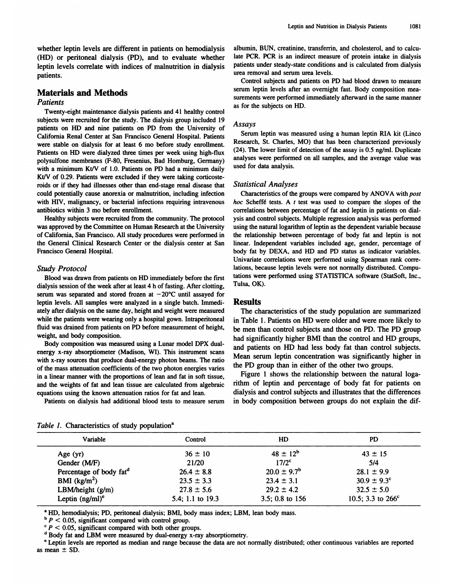whether leptin levels are different in patients on hemodialysis<br>(HD) or peritoneal dialysis (PD), and to evaluate whether whether leptin levels are different in patients on hemodialysis<br>(HD) or peritoneal dialysis (PD), and to evaluate whether<br>leptin levels correlate with indices of malnutrition in dialysis whether leptin levels are different in patients on hemodialysis (HD) or peritoneal dialysis (PD), and to evaluate whether leptin levels correlate with indices of malnutrition in dialysis patients. patients. whence repair levels are directer<br>(HD) or peritoneal dialysis (PI<br>leptin levels correlate with indic<br>patients.<br>**Materials and Methods**<br>*Patients* 

## *Patients*

**Saterials and Methods**<br>
Satients<br>
Twenty-eight maintenance dialysis patients and 41 healthy control<br>
Diects were recruited for the study. The dialysis group included 19 **Materials and Methods**<br>
Patients<br>
Twenty-eight maintenance dialysis patients and 41 healthy control<br>
subjects were recruited for the study. The dialysis group included 19<br>
patients on HD and nine patients on PD from the U Patients<br>
Twenty-eight maintenance dialysis patients and 41 healthy control<br>
subjects were recruited for the study. The dialysis group included 19<br>
patients on HD and nine patients on PD from the University of<br>
California I wenty-eight maintenance dialysis patents and 41 heating controls<br>subjects were recruited for the study. The dialysis group included 19<br>patients on HD and nine patients on PD from the University of<br>California Renal Center subjects were recruited for the study. The dialysis group included 19<br>patients on HD and nine patients on PD from the University of<br>California Renal Center at San Francisco General Hospital. Patients<br>were stable on dialysi patients on HD and line patients on HD from the University of<br>California Renal Center at San Francisco General Hospital. Patients<br>were stable on dialysis for at least 6 mo before study enrollment.<br>Patients on HD were dialy California Kellar Center at Sair Francisco General Hospital. Patients<br>
were stable on dialysis for at least 6 mo before study enrollment.<br>
Patients on HD were dialyzed three times per week using high-flux<br>
polysulfone mem rations on FiD were dialyzed three times per week using mgn-riux<br>polysulfone membranes (F-80, Fresenius, Bad Homburg, Germany)<br>with a minimum Kt/V of 1.0. Patients on PD had a minimum daily<br>Kt/V of 0.29. Patients were excl porysurione inembranes (r-oo, Fresenius, Bau Homourg, Germany)<br>with a minimum Kt/V of 1.0. Patients on PD had a minimum daily<br>Kt/V of 0.29. Patients were excluded if they were taking corticoste-<br>roids or if they had illnes With a minimum KUV of 1.0. Fatents on FD had a minimum darity<br>Kt/V of 0.29. Patients were excluded if they were taking corticoste-<br>roids or if they had illnesses other than end-stage renal disease that<br>could potentially ca Row of 0.25. I additioned in they were dating concesse-<br>roids or if they had illnesses other than end-stage renal disease that<br>could potentially cause anorexia or malnutrition, including infection<br>with HIV, malignancy, or

From potentially cause anotexta or manufactured, meridian precedent with HIV, malignancy, or bacterial infections requiring intravenous antibiotics within 3 mo before enrollment.<br>Healthy subjects were recruited from the co with HIV, malignancy, or bacterial infections requiring intravenous hoc antibiotics within 3 mo before enrollment.<br>
Healthy subjects were recruited from the community. The protocol ysis was approved by the Committee on Hum The General Clinical Research at the University<br>Manufoldes were recruited from the community. The protocol<br>was approved by the Committee on Human Research at the University<br>of California, San Francisco. All study procedure Francisco General Clinical Research<br>State General Clinical Research<br>Trancisco General Hospital.<br>Francisco General Hospital. of California, San<br>the General Clinia<br>Francisco General<br>*Study Protocol*<br>Blood was draw

European Clinical Research Center or the dialysis center at San<br>ancisco General Hospital.<br>
Udy Protocol<br>
Blood was drawn from patients on HD immediately before the first<br>
Ilysis session of the week after at least 4 h of fa Study Protocol<br>Blood was drawn from patients on HD immediately before the first<br>dialysis session of the week after at least 4 h of fasting. After clotting,<br>serum was separated and stored frozen at  $-20^{\circ}$ C until assayed Study Protocol<br>Blood was drawn from patients on HD immediately before the first<br>dialysis session of the week after at least 4 h of fasting. After clotting,<br>serum was separated and stored frozen at  $-20^{\circ}$ C until assayed Blood was drawn from patients on HD immediately before the f<br>dialysis session of the week after at least 4 h of fasting. After clotti<br>serum was separated and stored frozen at  $-20^{\circ}$ C until assayed<br>leptin levels. All sa Blood was drawn from patients on HD immediately before the first<br>dialysis session of the week after at least 4 h of fasting. After clotting,<br>serum was separated and stored frozen at  $-20^{\circ}$ C until assayed for<br>leptin lev maysis session of the week after at least  $4$  if of lasting. After clotting<br>serum was separated and stored frozen at  $-20^{\circ}$ C until assayed fo<br>leptin levels. All samples were analyzed in a single batch. Immediately afte serum was separated and stoted frozen at  $-20$  C until assayed for<br>leptin levels. All samples were analyzed in a single batch. Immedi-<br>ately after dialysis on the same day, height and weight were measured<br>while the patient repun revers. An samples were analyzed in a single backit. Initiated<br>ately after dialysis on the same day, height and weight were measure<br>while the patients were wearing only a hospital gown. Intraperitonea<br>fluid was drain

wine the patients were wearing only a hospital gown. Intrapertionear<br>fluid was drained from patients on PD before measurement of height,<br>weight, and body composition.<br>Body composition was measured using a Lunar model DPX d Find was drained from patients on FD before measurement of neight, be<br>weight, and body composition.<br>Body composition was measured using a Lunar model DPX dual-<br>energy x-ray absorptiometer (Madison, WI). This instrument sca body composition was measured using a Lunar model DPX dual-<br>energy x-ray absorptiometer (Madison, WI). This instrument scans<br>with x-ray sources that produce dual-energy photon beams. The ratio<br>of the mass attenuation coeff Body composition was ineasured using a Luita inoder Dr A dual-<br>energy x-ray absorptiometer (Madison, WI). This instrument scans<br>with x-ray sources that produce dual-energy photon beams. The ratio<br>of the mass attenuation co energy x-ray absorptioneter (wiadison, W1). This insulment scans<br>with x-ray sources that produce dual-energy photon beams. The ratio<br>of the mass attenuation coefficients of the two photon energies varies<br>in a linear manner of the mass attenuation coefficients of the two photon energies varies<br>in a linear manner with the proportions of lean and fat in soft tissue,<br>and the weights of fat and lean tissue are calculated from algebraic<br>equations equations using the known attenuation ratios for fat and lean.

Leptin and Nutrition in Dialysis Patients [1081]<br>albumin, BUN, creatinine, transferrin, and cholesterol, and to calcu-Leptin and Nutrition in Dialysis Patients<br>albumin, BUN, creatinine, transferrin, and cholesterol, and to calcu-<br>late PCR. PCR is an indirect measure of protein intake in dialysis<br>patients under steady-state conditions and albumin, BUN, creatinine, transferrin, and cholesterol, and to calculate PCR. PCR is an indirect measure of protein intake in dialysis patients under steady-state conditions and is calculated from dialysis urea removal and albumin, BUN, creatinine, transferrin, and cholesterol, and to calculate PCR. PCR is an indirect measure of protein intake in dialysis patients under steady-state conditions and is calculated from dialysis urea removal and

servel and serum leptin levels after an overnight fast. Body composition measure are removal and serum urea levels.<br>Control subjects and patients on PD had blood drawn to measure serum leptin levels after an overnight fast patients under steady-state conditions and is calculated from diarysis<br>urea removal and serum urea levels.<br>Control subjects and patients on PD had blood drawn to measure<br>serum leptin levels after an overnight fast. Body co The subjects and paties<br>Control subjects and paties<br>serum leptin levels after an<br>surements were performed in<br>as for the subjects on HD. Serum leptin was measured using a human leptin RIA kit (Lincontrolleptin was measured using a human leptin RIA kit (Lincontrolleptin RIA kit (Lincontrolleptin RIA kit (Lincontrolleptin RIA kit (Lincontrolleptin RIA kit (Li

### *Assays*

Assays<br>
Serum leptin was measured using a human leptin RIA kit (Linco<br>
Research, St. Charles, MO) that has been characterized previously<br>
(24). The lower limit of detection of the assay is 0.5 ng/ml. Duplicate<br>
analyses we Serum leptin was measured using a human leptin RIA kit (Linco Research, St. Charles, MO) that has been characterized previously (24). The lower limit of detection of the assay is 0.5 ng/ml. Duplicate analyses were performe Setum lepun was in<br>Research, St. Charles,<br>(24). The lower limit of<br>analyses were perform<br>used for data analysis. (24). The lower limit of d<br>analyses were performed<br>used for data analysis.<br>*Statistical Analyses*<br>Characteristics of the g

ed for data analysis.<br>
atistical Analyses<br>
Characteristics of the groups were compared by ANOVA with *post*<br>
c Scheffé tests. A *t* test was used to compare the slopes of the *Statistical Analyses*<br>Characteristics of the groups were compared by ANOVA with *post*<br>*hoc* Scheffé tests. A *t* test was used to compare the slopes of the<br>correlations between percentage of fat and leptin in patients o Statistical Analyses<br>Characteristics of the groups were compared by ANOVA with pos<br>hoc Scheffé tests. A t test was used to compare the slopes of the<br>correlations between percentage of fat and leptin in patients on dial-<br>ys Characteristics of the groups were compared by ANOVA with *post*<br>hoc Scheffé tests. A t test was used to compare the slopes of the<br>correlations between percentage of fat and leptin in patients on dial-<br>ysis and control sub hoc Scheffé tests. A  $t$  test was used to compare the slopes of the correlations between percentage of fat and leptin in patients on dialysis and control subjects. Multiple regression analysis was performed using the natu the relationship between percentage of fat and leptin in patients on dialysis and control subjects. Multiple regression analysis was performed using the natural logarithm of leptin as the dependent variable because the re Linearions between percentage of fat and lepth in patients on dia-<br>ysis and control subjects. Multiple regression analysis was performed<br>using the natural logarithm of leptin as the dependent variable because<br>the relations body fat by DEXA, and HD and PD status as indicator variable because<br>the relationship between percentage of body fat and leptin is not<br>linear. Independent variables included age, gender, percentage of<br>body fat by DEXA, and lations, and HD and PD status and lepth is<br>linear. Independent variables included age, gender, percentage<br>body fat by DEXA, and HD and PD status as indicator variab.<br>Univariate correlations were performed using Spearman ra meal. Intepertient variables included age, gender, percentage of<br>body fat by DEXA, and HD and PD status as indicator variables.<br>Univariate correlations were performed using Spearman rank corre-<br>lations, because leptin leve body fat by f<br>Univariate co<br>lations, becau<br>tations were p<br>Tulsa, OK).

## **Results**

Tulsa, OK).<br> **Results**<br>
The characteristics of the study population are summarized<br>
in Table 1. Patients on HD were older and were more likely to **in Table 1.** Patients of the study population are summarized<br>in Table 1. Patients on HD were older and were more likely to<br>be men than control subjects and those on PD. The PD group **Results**<br>The characteristics of the study population are summarized<br>in Table 1. Patients on HD were older and were more likely to<br>be men than control subjects and those on PD. The PD group<br>had significantly higher BMI tha The characteristics of the study population are summarized<br>in Table 1. Patients on HD were older and were more likely to<br>be men than control subjects and those on PD. The PD group<br>had significantly higher BMI than the cont In Table 1. Patients on HD were older and were more likely to<br>be men than control subjects and those on PD. The PD group<br>had significantly higher BMI than the control and HD groups,<br>and patients on HD had less body fat tha In Table 1. Patients on HD were offer and were infore interprioted by the men than control subjects and those on PD. The PD group had significantly higher BMI than the control and HD groups, and patients on HD had less bod had significantly higher BMI than the control and HD groups, and patients on HD had less body fat than control subjects.<br>Mean serum leptin concentration was significantly higher in the PD group than in either of the other In significantly ingher BMI than the control and HD groups<br>d patients on HD had less body fat than control subjects<br>ean serum leptin concentration was significantly higher is<br>PD group than in either of the other two groups

in a linear manner with the proportions of lean and fat in soft tissue,<br>and the weights of fat and lean tissue are calculated from algebraic<br>equations using the known attenuation ratios for fat and lean.<br>Patients on dialys and patients on HD had less body fat than control subjects.<br>Mean serum leptin concentration was significantly higher in<br>the PD group than in either of the other two groups.<br>Figure 1 shows the relationship between the natur the PD group than in either of the other two groups.<br>
Figure 1 shows the relationship between the natural loga-<br>
rithm of leptin and percentage of body fat for patients on<br>
dialysis and control subjects and illustrates tha

|  | Table 1. Characteristics of study population <sup>a</sup> |  |  |
|--|-----------------------------------------------------------|--|--|
|  |                                                           |  |  |

| Variable                                                                                                                                                                                                                                                                                                                  | Control          | HD                                                                                                                                     | <b>PD</b>                   |
|---------------------------------------------------------------------------------------------------------------------------------------------------------------------------------------------------------------------------------------------------------------------------------------------------------------------------|------------------|----------------------------------------------------------------------------------------------------------------------------------------|-----------------------------|
| Age $(yr)$                                                                                                                                                                                                                                                                                                                | $36 \pm 10$      | $48 \pm 12^{b}$                                                                                                                        | $43 \pm 15$                 |
| Gender (M/F)                                                                                                                                                                                                                                                                                                              | 21/20            | 17/2 <sup>c</sup>                                                                                                                      | 5/4                         |
| Percentage of body fat <sup>d</sup>                                                                                                                                                                                                                                                                                       | $26.4 \pm 8.8$   | $20.0 \pm 9.7^{\rm b}$                                                                                                                 | $28.1 \pm 9.9$              |
| BMI $(kg/m2)$                                                                                                                                                                                                                                                                                                             | $23.5 \pm 3.3$   | $23.4 \pm 3.1$                                                                                                                         | $30.9 \pm 9.3$ <sup>c</sup> |
| LBM/height $(g/m)$                                                                                                                                                                                                                                                                                                        | $27.8 \pm 5.6$   | $29.2 \pm 4.2$                                                                                                                         | $32.5 \pm 5.0$              |
| Leptin $(ng/ml)^c$                                                                                                                                                                                                                                                                                                        | 5.4; 1.1 to 19.3 | 3.5; 0.8 to $156$                                                                                                                      | 10.5; 3.3 to $266^{\circ}$  |
| <sup>a</sup> HD, hemodialysis; PD, peritoneal dialysis; BMI, body mass index; LBM, lean body mass.<br>$\Delta P$ < 0.05, significant compared with control group.<br>$\degree P$ < 0.05, significant compared with both other groups.<br><sup>d</sup> Body fat and LBM were measured by dual-energy x-ray absorptiometry. |                  | "Leptin levels are reported as median and range because the data are not normally distributed; other continuous variables are reported |                             |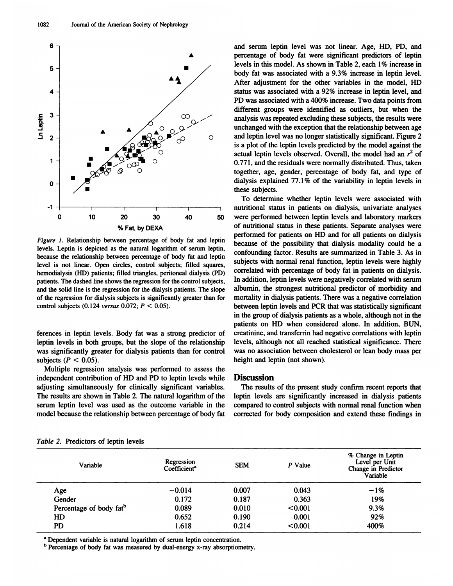

10 20 30 40 50<br>
% Fat, by DEXA<br>
Figure 1. Relationship between percentage of body fat and leptin<br>
levels. Leptin is depicted as the natural logarithm of serum leptin,<br>
because the relationship between percentage of body fa % Fat, by DEXA<br>
Figure 1. Relationship between percentage of body fat and leptin<br>
levels. Leptin is depicted as the natural logarithm of serum leptin,<br>
because the relationship between percentage of body fat and leptin<br>
le *Higure 1.* Kelationship between percentage of body fat and lepth levels. Leptin is depicted as the natural logarithm of serum leptin, because the relationship between percentage of body fat and leptin level is not linear. patients. The dashed line shows the relationship between percentage of body fat and leptin<br>level is not linear. Open circles, control subjects; filled squares,<br>hemodialysis (HD) patients; filled triangles, peritoneal dialy level is not linear. Open circles, control subjects; filled squares, hemodialysis (HD) patients; filled triangles, peritoneal dialysis (PD) patients. The dashed line shows the regression for the control subjects, and the s of the regression for dialysis subjects is significantly greater than for mortality in dialysis patients. There was a negative correlation control subjects  $(0.124 \text{ versus } 0.072; P \le 0.05)$ . patients. The dashed line shows the regression for the control subjects,

for the regression for diarysis subjects is significantly greater than for the control subjects (0.124 versus 0.072;  $P < 0.05$ ).<br>
in<br>
ferences in leptin levels. Body fat was a strong predictor of colleptin levels in both ferences in leptin levels. Body fat was a strong predictor of<br>leptin levels in both groups, but the slope of the relationship<br>was significantly greater for dialysis patients than for control ferences in leptin levels. Body fat was a strong predictor of leptin levels in both groups, but the slope of the relationship was significantly greater for dialysis patients than for control subjects ( $P < 0.05$ ). subjects  $(P < 0.05)$ . leptin levels in both groups, but the slope of the relationship levels, although not all reached statistical significance. There was significantly greater for dialysis patients than for control was no association between

EVEN IN OOUT groups, but the stope of the relationship<br>was significantly greater for dialysis patients than for control<br>subjects ( $P < 0.05$ ).<br>Multiple regression analysis was performed to assess the<br>independent contributi was significantly greater for diarysis patients than for control<br>subjects  $(P < 0.05)$ .<br>Multiple regression analysis was performed to assess the<br>independent contribution of HD and PD to leptin levels while<br>adjusting simulta Subjects  $(r \le 0.05)$ .<br>
Multiple regression analysis was performed to assess the<br>
independent contribution of HD and PD to leptin levels while<br>
adjusting simultaneously for clinically significant variables.<br>
The results ar Solution analysis was performed to assess the<br>independent contribution of HD and PD to leptin levels while<br>adjusting simultaneously for clinically significant variables.<br>The results are shown in Table 2. The natural logari adjusting simultaneously for clinically significant variables. The results of the present study confirm recent reports that<br>The results are shown in Table 2. The natural logarithm of the leptin levels are significantly inc model because the relationship between percentage of body fat<br>Table 2. Predictors of leptin levels

and serum leptin level was not linear. Age, HD, PD, and<br>percentage of body fat were significant predictors of leptin **A**<br> **A** percentage of body fat were significant predictors of leptin<br>
levels in this model. As shown in Table 2, each 1% increase in and serum leptin level was not linear. Age, HD, PD, and<br>percentage of body fat were significant predictors of leptin<br>levels in this model. As shown in Table 2, each 1% increase in<br>body fat was associated with a 9.3% increa and serum leptin level was not linear. Age, HD, PD, and percentage of body fat were significant predictors of leptin levels in this model. As shown in Table 2, each 1% increase in body fat was associated with a 9.3% increa and serum repun rever was not mear. Age, HD, FD, and<br>percentage of body fat were significant predictors of leptin<br>levels in this model. As shown in Table 2, each 1% increase in<br>body fat was associated with a 9.3% increase levels in this model. As shown in Table 2, each 1% increase in body fat was associated with a 9.3% increase in leptin level.<br>After adjustment for the other variables in the model, HD<br>status was associated with a 92% increa different groups were identified as outliers, but when the analysis was associated with a 92% increase in leptin level, and PD was associated with a 400% increase. Two data points from different groups were identified as status was associated with a 92% increase in leptin level, and<br>PD was associated with a 400% increase. Two data points from<br>different groups were identified as outliers, but when the<br>analysis was repeated excluding these s PD was associated with a 400% increase. Two data points from<br>different groups were identified as outliers, but when the<br>analysis was repeated excluding these subjects, the results were<br>unchanged with the exception that the analysis was repeated excluding these subjects, the results were<br>unchanged with the exception that the relationship between age<br>and leptin level was no longer statistically significant. Figure 2<br>is a plot of the leptin le anarysis was repeated excluding these subjects, the results were<br>unchanged with the exception that the relationship between age<br>and leptin level was no longer statistically significant. Figure 2<br>is a plot of the leptin le and leptin level was no longer statistically significant. Figure 2<br>is a plot of the leptin levels predicted by the model against the<br>actual leptin levels observed. Overall, the model had an  $r^2$  of<br>0.771, and the residua and leptin lever was no longer statistically significant. Figure 2<br>is a plot of the leptin levels predicted by the model against the<br>actual leptin levels observed. Overall, the model had an  $r^2$  of<br>0.771, and the residua actual leptin levels observed. Overall, the model had an  $r^2$  of 0.771, and the residuals were normally distributed. Thus, taken together, age, gender, percentage of body fat, and type of dialysis explained 77.1% of the The determine whether leptin levels were associated with determine whether leptin levels were associated with tritional status in patients on dialysis, univariate analyses

nutritional status in patients on dialysis explained 77.1% of the variability in leptin levels in these subjects.<br>To determine whether leptin levels were associated with nutritional status in patients on dialysis, univaria To determine whether leptin levels were associated with nutritional status in patients on dialysis, univariate analyses were performed between leptin levels and laboratory markers of nutritional status in these patients. S nutritional status in patients on dialysis, univariate analyses<br>were performed between leptin levels and laboratory markers<br>of nutritional status in these patients. Separate analyses were<br>performed for patients on HD and f muritional status in patients on diarysis, univariate analyses<br>were performed between leptin levels and laboratory markers<br>of nutritional status in these patients. Separate analyses were<br>performed for patients on HD and fo were performed between repun fevers and faboratory markers<br>of nutritional status in these patients. Separate analyses were<br>performed for patients on HD and for all patients on dialysis<br>because of the possibility that dialy performed for patients on HD and for all patients on dialysis<br>because of the possibility that dialysis modality could be a<br>confounding factor. Results are summarized in Table 3. As in<br>subjects with normal renal function, l confounding factor. Results are summarized in Table 3. As in subjects with normal renal function, leptin levels were highly correlated with percentage of body fat in patients on dialysis. In addition, leptin levels were ne comounting factor. Results are summarized in Table 5. As in<br>subjects with normal renal function, leptin levels were highly<br>correlated with percentage of body fat in patients on dialysis.<br>In addition, leptin levels were neg subjects with normal renal function, leptin levels were mighty<br>correlated with percentage of body fat in patients on dialysis.<br>In addition, leptin levels were negatively correlated with serum<br>albumin, the strongest nutriti correlated with percentage of body fat in patients on diarysis.<br>In addition, leptin levels were negatively correlated with serum<br>albumin, the strongest nutritional predictor of morbidity and<br>mortality in dialysis patients. in addition, tepth levels were negatively correlated with serum<br>albumin, the strongest nutritional predictor of morbidity and<br>mortality in dialysis patients. There was a negative correlation<br>between leptin levels and PCR t abumin, the strongest nutritional predictor of morbidity and<br>mortality in dialysis patients. There was a negative correlation<br>between leptin levels and PCR that was statistically significant<br>in the group of dialysis patien between leptin levels and PCR that was statistically significant<br>in the group of dialysis patients as a whole, although not in the<br>patients on HD when considered alone. In addition, BUN,<br>creatinine, and transferrin had neg In the group of dialysis patients as a whole, atmough not in the<br>patients on HD when considered alone. In addition, BUN,<br>creatinine, and transferrin had negative correlations with leptin<br>levels, although not all reached st patients on HD when conside<br>creatinine, and transferrin had n<br>levels, although not all reached<br>was no association between ch<br>height and leptin (not shown). was no association between cholesterol or lean body mass per<br>height and leptin (not shown).<br>**Discussion**<br>The results of the present study confirm recent reports that<br>leptin levels are significantly increased in dialysis pa 0 10 20 30 40 50 were performed between leptin levels and laboratory markers<br>
<sup>7</sup> Figure 1. Relationship between percentage of body fat and leptin<br> *Figure 1.* Relationship between percentage of body fat and leptin<br>
levels

## **Discussion**

Discussion<br>The results of the present study confirm recent reports that<br>leptin levels are significantly increased in dialysis patients<br>compared to control subjects with normal renal function when **Discussion**<br>The results of the present study confirm recent reports that<br>leptin levels are significantly increased in dialysis patients<br>compared to control subjects with normal renal function when<br>corrected for body compo **CONSEGENDER**<br>The results of the present study confirm recent reports that<br>leptin levels are significantly increased in dialysis patients<br>compared to control subjects with normal renal function when<br>corrected for body comp

| Variable                | Regression<br>Coefficient <sup>a</sup> | <b>SEM</b> | P Value | % Change in Leptin<br>Level per Unit<br>Change in Predictor<br>Variable |
|-------------------------|----------------------------------------|------------|---------|-------------------------------------------------------------------------|
| Age                     | $-0.014$                               | 0.007      | 0.043   | $-1%$                                                                   |
| Gender                  | 0.172                                  | 0.187      | 0.363   | 19%                                                                     |
| Percentage of body fatb | 0.089                                  | 0.010      | < 0.001 | 9.3%                                                                    |
| HD                      | 0.652                                  | 0.190      | 0.001   | 92%                                                                     |
| PD                      | 1.618                                  | 0.214      | < 0.001 | 400%                                                                    |

<sup>a</sup> Dependent variable is natural logarithm of serum leptin concentration.

**<sup>b</sup>** Percentage of body fat was measured by dual-energy x-ray absorptiometry.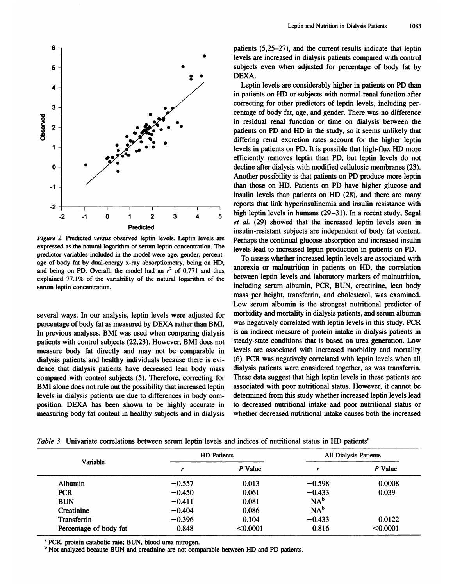

expressed as the natural logarithm of serum leptin concentration. The predictor variables included in the model were age, gender, percent-**Predicted**<br>Figure 2. Predicted versus observed leptin levels. Leptin levels<br>expressed as the natural logarithm of serum leptin concentration. 1<br>predictor variables included in the model were age, gender, perce<br>age of body Figure 2. Predicted versus observed leptin levels. Leptin levels are expressed as the natural logarithm of serum leptin concentration. The predictor variables included in the model were age, gender, percentage of body fat *Figure 2.* Freunded *Versus* observed repun revers. Lepun revers are expressed as the natural logarithm of serum leptin concentration. The predictor variables included in the model were age, gender, percentage of body fa expressed as the natural logarithm of serum lepth concentration. The predictor variables included in the model were age, gender, percent-<br>age of body fat by dual-energy x-ray absorptiometry, being on HD,<br>and being on PD. age of body fat by dual-energy x-ray absorptiometry, being on HD, and being on PD. Overall, the model had an  $r^2$  of 0.771 and thus explained 77.1% of the variability of the natural logarithm of the serum leptin concentr

serum leptin concentration.<br>
serum leptin concentration.<br>  $\frac{1}{1}$ <br>
several ways. In our analysis, leptin levels were adjusted for  $\frac{1}{1}$ <br>
percentage of body fat as measured by DEXA rather than BMI. several ways. In our analysis, leptin levels were adjusted for<br>percentage of body fat as measured by DEXA rather than BMI.<br>In previous analyses, BMI was used when comparing dialysis Several ways. In our analysis, leptin levels were adjusted for<br>percentage of body fat as measured by DEXA rather than BMI.<br>In previous analyses, BMI was used when comparing dialysis<br>patients with control subjects (22,23). several ways. In our analysis, leptin levels were adjusted for<br>percentage of body fat as measured by DEXA rather than BMI.<br>In previous analyses, BMI was used when comparing dialysis<br>patients with control subjects (22,23). several ways. In our analysis, leptin levels were adjusted for the<br>percentage of body fat as measured by DEXA rather than BMI. Was<br>In previous analyses, BMI was used when comparing dialysis is a<br>patients with control subje percentage of body fat as ineasured by DEAA rather than BMI.<br>In previous analyses, BMI was used when comparing dialysis<br>patients with control subjects (22,23). However, BMI does not<br>measure body fat directly and may not be In previous analyses, BMI was used when comparing dialysis<br>patients with control subjects (22,23). However, BMI does not<br>measure body fat directly and may not be comparable in<br>dialysis patients and healthy individuals beca patients with control subjects  $(22,25)$ . However, BMI does not<br>measure body fat directly and may not be comparable in<br>dialysis patients and healthy individuals because there is evi-<br>dence that dialysis patients have decr measure body fat directly and may not be comparable in the dialysis patients and healthy individuals because there is evidence that dialysis patients have decreased lean body mass discompared with control subjects (5). The dence that dialysis patients have decreased lean body mass dial<br>compared with control subjects (5). Therefore, correcting for The<br>BMI alone does not rule out the possibility that increased leptin asso<br>levels in dialysis pa compared with control subjects (5). Therefore, correcting for<br>
BMI alone does not rule out the possibility that increased leptin<br>
associated with poor nutritional status. However, it cannot be<br>
levels in dialysis patients

Leptin and Nutrition in Dialysis Patients 1083<br>patients (5,25–27), and the current results indicate that leptin<br>levels are increased in dialysis patients compared with control Leptin and Nutrition in Dialysis Patients<br>
patients (5,25–27), and the current results indicate that leptin<br>
levels are increased in dialysis patients compared with control<br>
subjects even when adjusted for percentage of bo patients (5,25–27), and the current results indicate that leptin<br>levels are increased in dialysis patients compared with control<br>subjects even when adjusted for percentage of body fat by<br>DEXA. DEXA.<br>Leptin levels are considerably higher in patients on PD than Leptin levels are increased in dialysis patients compared with control<br>bjects even when adjusted for percentage of body fat by<br>EXA.<br>Leptin levels are considerably higher in patients on PD than<br>patients on HD or subjects wi

<sup>2</sup> <sup>-2</sup> -1 0 <sup>1</sup> <sup>2</sup> <sup>3</sup> <sup>4</sup> <sup>5</sup> <sup>high leptin levels in humans (29–31). In a recent study, Segal *et al.* (29) showed that the increased leptin levels seen in *Predicted insulin-resistant subjects are independent of body </sup>* subjects even when adjusted for percentage of body fat by DEXA.<br>Leptin levels are considerably higher in patients on PD than<br>in patients on HD or subjects with normal renal function after<br>correcting for other predictors of in patients on HD or subjects with normal renal function after correcting for other predictors of leptin levels, including per-<br>centage of body fat, age, and gender. There was no difference Leptin levels are considerably higher in patients on PD than<br>in patients on HD or subjects with normal renal function after<br>correcting for other predictors of leptin levels, including per-<br>centage of body fat, age, and gen in patients on HD or subjects with normal renal function after correcting for other predictors of leptin levels, including percentage of body fat, age, and gender. There was no difference in residual renal function or time conceting for other predictors of reptin revers, including per-<br>centage of body fat, age, and gender. There was no difference<br>in residual renal function or time on dialysis between the<br>patients on PD and HD in the study, s in residual renal function or time on dialysis between the patients on PD and HD in the study, so it seems unlikely that differing renal excretion rates account for the higher leptin levels in patients on PD. It is possibl In residuar renar function of time of diarysis between the<br>patients on PD and HD in the study, so it seems unlikely that<br>differing remal excretion rates account for the higher leptin<br>levels in patients on PD. It is possibl differing renal excretion rates account for the higher leptin<br>levels in patients on PD. It is possible that high-flux HD more<br>efficiently removes leptin than PD, but leptin levels do not<br>decline after dialysis with modifie levels in patients on PD. It is possible that high-flux HD more efficiently removes leptin than PD, but leptin levels do not decline after dialysis with modified cellulosic membranes (23). Another possibility is that patie emeterity removes reptin than 1 D, out reptin levels do not<br>decline after dialysis with modified cellulosic membranes (23).<br>Another possibility is that patients on PD produce more leptin<br>than those on HD. Patients on HD (2 Another possibility is that patients on PD produce more leptin<br>than those on HD. Patients on PD have higher glucose and<br>insulin levels than patients on HD (28), and there are many<br>reports that link hyperinsulinemia and in than those on HD. Patients on PD have higher glucose and<br>insulin levels than patients on HD (28), and there are many<br>reports that link hyperinsulinemia and insulin resistance with<br>high leptin levels in humans (29–31). In insulin levels than patients on HD (28), and there are many<br>reports that link hyperinsulinemia and insulin resistance with<br>high leptin levels in humans (29–31). In a recent study, Segal<br>*et al.* (29) showed that the increa reports that link hyperinsulinemia and insulin resistance with<br>high leptin levels in humans (29–31). In a recent study, Segal<br>et al. (29) showed that the increased leptin levels seen in<br>insulin-resistant subjects are indep Perhaps that the hypermoducinal and insum resistance whith<br>high leptin levels in humans (29–31). In a recent study, Segal<br>et al. (29) showed that the increased leptin levels seen in<br>insulin-resistant subjects are independe et al. (29) showed that the increased leptin levels seen in<br>insulin-resistant subjects are independent of body fat content.<br>Perhaps the continual glucose absorption and increased insulin<br>levels lead to increased leptin pro

To assess whether increased leptin levels are associated with an<br>orexia or malnutrition in patients on HD, the correlation msum-resistant stopens are intependent of body fat content.<br>Perhaps the continual glucose absorption and increased insulin<br>levels lead to increased leptin production in patients on PD.<br>To assess whether increased leptin le between leptin levels and increased insult<br>levels lead to increased leptin production in patients on PD.<br>To assess whether increased leptin levels are associated wit<br>anorexia or malnutrition in patients on HD, the correlat To assess whether increased leptin levels are associated with<br>anorexia or malnutrition in patients on HD, the correlation<br>between leptin levels and laboratory markers of malnutrition,<br>including serum albumin, PCR, BUN, cre Molecular of manufactured in patients on TD, the correlation<br>between leptin levels and laboratory markers of malnutrition,<br>including serum albumin, PCR, BUN, creatinine, lean body<br>mass per height, transferrin, and choleste including serum albumin, PCR, BUN, creatinine, lean body mass per height, transferrin, and cholesterol, was examined.<br>Low serum albumin is the strongest nutritional predictor of morbidity and mortality in dialysis patients mass per height, transferrin, and cholesterol, was examined.<br>Low serum albumin is the strongest nutritional predictor of morbidity and mortality in dialysis patients, and serum albumin<br>was negatively correlated with leptin Low serum albumin is the strongest nutritional predictor of morbidity and mortality in dialysis patients, and serum albumin was negatively correlated with leptin levels in this study. PCR is an indirect measure of protein morbidity and mortality in dialysis patients, and serum albumin<br>was negatively correlated with leptin levels in this study. PCR<br>is an indirect measure of protein intake in dialysis patients in<br>steady-state conditions that was negatively correlated with leptin levels in this study. PCR<br>is an indirect measure of protein intake in dialysis patients in<br>steady-state conditions that is based on urea generation. Low<br>levels are associated with incr is an indirect measure of protein intake in dialysis patients in steady-state conditions that is based on urea generation. Low levels are associated with increased morbidity and mortality (6). PCR was negatively correlated steady-state conditions that is based on urea generation. Low<br>levels are associated with increased morbidity and mortality<br>(6). PCR was negatively correlated with leptin levels when al<br>dialysis patients were considered tog levels are associated with increased morbidity and mortality (6). PCR was negatively correlated with leptin levels when all dialysis patients were considered together, as was transferrin. (6). PCR was negatively correlated with leptin levels when all<br>dialysis patients were considered together, as was transferrin.<br>These data suggest that high leptin levels in these patients are<br>associated with poor nutrition (o). I CK was hegatively concluded what heptin levels when all<br>dialysis patients were considered together, as was transferrin.<br>These data suggest that high leptin levels in these patients are<br>associated with poor nutrition these data suggest that high leptin levels in these patients are<br>associated with poor nutritional status. However, it cannot be<br>determined from this study whether increased leptin levels lead<br>to decreased nutritional intak First data suggest that high reptin levels in these patients are<br>associated with poor nutritional status. However, it cannot be<br>determined from this study whether increased leptin levels lead<br>to decreased nutritional intak

| Table 3. Univariate correlations between serum leptin levels and indices of nutritional status in HD patients <sup>a</sup> |                    |           |                              |          |
|----------------------------------------------------------------------------------------------------------------------------|--------------------|-----------|------------------------------|----------|
| Variable                                                                                                                   | <b>HD</b> Patients |           | <b>All Dialysis Patients</b> |          |
|                                                                                                                            |                    | $P$ Value |                              | P Value  |
| <b>Albumin</b>                                                                                                             | $-0.557$           | 0.013     | $-0.598$                     | 0.0008   |
| <b>PCR</b>                                                                                                                 | $-0.450$           | 0.061     | $-0.433$                     | 0.039    |
| <b>BUN</b>                                                                                                                 | $-0.411$           | 0.081     | $NA^b$                       |          |
| Creatinine                                                                                                                 | $-0.404$           | 0.086     | NA <sup>b</sup>              |          |
| <b>Transferrin</b>                                                                                                         | $-0.396$           | 0.104     | $-0.433$                     | 0.0122   |
| Percentage of body fat                                                                                                     | 0.848              | < 0.0001  | 0.816                        | < 0.0001 |

**a PCR**, protein catabolic rate; BUN, blood urea nitrogen.<br>**b** Not analyzed because BUN and creatinine are not comparable between HD and PD patients.